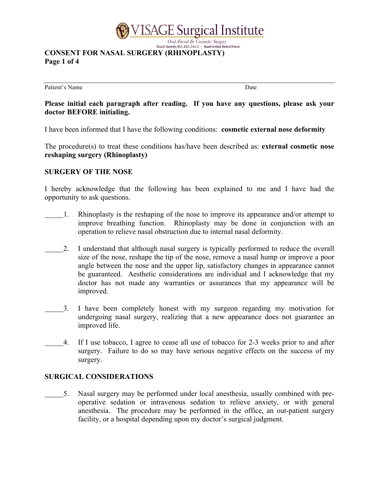

# **CONSENT FOR NASAL SURGERY (RHINOPLASTY) Page 1 of 4**

Patient's Name Date

### **Please initial each paragraph after reading. If you have any questions, please ask your doctor BEFORE initialing.**

I have been informed that I have the following conditions: **cosmetic external nose deformity** 

The procedure(s) to treat these conditions has/have been described as: **external cosmetic nose reshaping surgery (Rhinoplasty)** 

#### **SURGERY OF THE NOSE**

I hereby acknowledge that the following has been explained to me and I have had the opportunity to ask questions.

- 1. Rhinoplasty is the reshaping of the nose to improve its appearance and/or attempt to improve breathing function. Rhinoplasty may be done in conjunction with an operation to relieve nasal obstruction due to internal nasal deformity.
- 2. I understand that although nasal surgery is typically performed to reduce the overall size of the nose, reshape the tip of the nose, remove a nasal hump or improve a poor angle between the nose and the upper lip, satisfactory changes in appearance cannot be guaranteed. Aesthetic considerations are individual and I acknowledge that my doctor has not made any warranties or assurances that my appearance will be improved.
- 3. I have been completely honest with my surgeon regarding my motivation for undergoing nasal surgery, realizing that a new appearance does not guarantee an improved life.
- 4. If I use tobacco, I agree to cease all use of tobacco for 2-3 weeks prior to and after surgery. Failure to do so may have serious negative effects on the success of my surgery.

### **SURGICAL CONSIDERATIONS**

5. Nasal surgery may be performed under local anesthesia, usually combined with preoperative sedation or intravenous sedation to relieve anxiety, or with general anesthesia. The procedure may be performed in the office, an out-patient surgery facility, or a hospital depending upon my doctor's surgical judgment.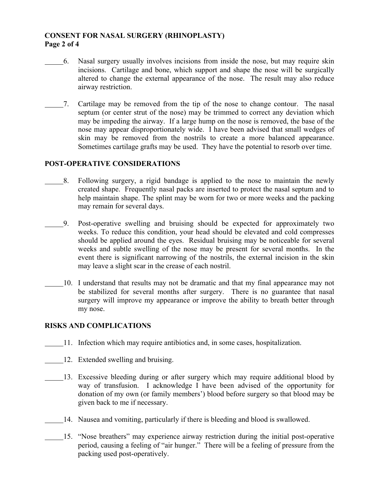### **CONSENT FOR NASAL SURGERY (RHINOPLASTY) Page 2 of 4**

- 6. Nasal surgery usually involves incisions from inside the nose, but may require skin incisions. Cartilage and bone, which support and shape the nose will be surgically altered to change the external appearance of the nose. The result may also reduce airway restriction.
- 7. Cartilage may be removed from the tip of the nose to change contour. The nasal septum (or center strut of the nose) may be trimmed to correct any deviation which may be impeding the airway. If a large hump on the nose is removed, the base of the nose may appear disproportionately wide. I have been advised that small wedges of skin may be removed from the nostrils to create a more balanced appearance. Sometimes cartilage grafts may be used. They have the potential to resorb over time.

#### **POST-OPERATIVE CONSIDERATIONS**

- 8. Following surgery, a rigid bandage is applied to the nose to maintain the newly created shape. Frequently nasal packs are inserted to protect the nasal septum and to help maintain shape. The splint may be worn for two or more weeks and the packing may remain for several days.
- 9. Post-operative swelling and bruising should be expected for approximately two weeks. To reduce this condition, your head should be elevated and cold compresses should be applied around the eyes. Residual bruising may be noticeable for several weeks and subtle swelling of the nose may be present for several months. In the event there is significant narrowing of the nostrils, the external incision in the skin may leave a slight scar in the crease of each nostril.
	- 10. I understand that results may not be dramatic and that my final appearance may not be stabilized for several months after surgery. There is no guarantee that nasal surgery will improve my appearance or improve the ability to breath better through my nose.

#### **RISKS AND COMPLICATIONS**

- 11. Infection which may require antibiotics and, in some cases, hospitalization.
- 12. Extended swelling and bruising.
- 13. Excessive bleeding during or after surgery which may require additional blood by way of transfusion. I acknowledge I have been advised of the opportunity for donation of my own (or family members') blood before surgery so that blood may be given back to me if necessary.
- 14. Nausea and vomiting, particularly if there is bleeding and blood is swallowed.
	- 15. "Nose breathers" may experience airway restriction during the initial post-operative period, causing a feeling of "air hunger." There will be a feeling of pressure from the packing used post-operatively.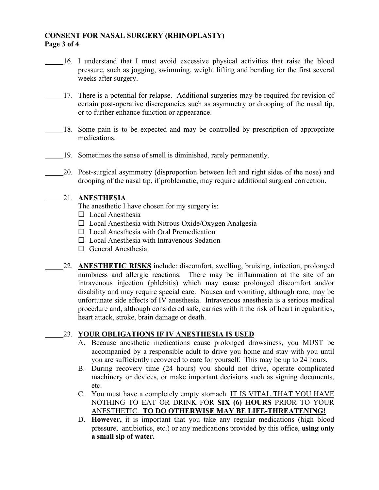### **CONSENT FOR NASAL SURGERY (RHINOPLASTY) Page 3 of 4**

- 16. I understand that I must avoid excessive physical activities that raise the blood pressure, such as jogging, swimming, weight lifting and bending for the first several weeks after surgery.
- 17. There is a potential for relapse. Additional surgeries may be required for revision of certain post-operative discrepancies such as asymmetry or drooping of the nasal tip, or to further enhance function or appearance.
	- 18. Some pain is to be expected and may be controlled by prescription of appropriate medications.
- 19. Sometimes the sense of smell is diminished, rarely permanently.
- 20. Post-surgical asymmetry (disproportion between left and right sides of the nose) and drooping of the nasal tip, if problematic, may require additional surgical correction.

#### 21. **ANESTHESIA**

The anesthetic I have chosen for my surgery is:

- $\square$  Local Anesthesia
- $\Box$  Local Anesthesia with Nitrous Oxide/Oxygen Analgesia
- $\Box$  Local Anesthesia with Oral Premedication
- $\square$  Local Anesthesia with Intravenous Sedation
- $\Box$  General Anesthesia
- 22. **ANESTHETIC RISKS** include: discomfort, swelling, bruising, infection, prolonged numbness and allergic reactions. There may be inflammation at the site of an intravenous injection (phlebitis) which may cause prolonged discomfort and/or disability and may require special care. Nausea and vomiting, although rare, may be unfortunate side effects of IV anesthesia. Intravenous anesthesia is a serious medical procedure and, although considered safe, carries with it the risk of heart irregularities, heart attack, stroke, brain damage or death.

## 23. **YOUR OBLIGATIONS IF IV ANESTHESIA IS USED**

- A. Because anesthetic medications cause prolonged drowsiness, you MUST be accompanied by a responsible adult to drive you home and stay with you until you are sufficiently recovered to care for yourself. This may be up to 24 hours.
- B. During recovery time (24 hours) you should not drive, operate complicated machinery or devices, or make important decisions such as signing documents, etc.
- C. You must have a completely empty stomach. IT IS VITAL THAT YOU HAVE NOTHING TO EAT OR DRINK FOR **SIX (6) HOURS** PRIOR TO YOUR ANESTHETIC. **TO DO OTHERWISE MAY BE LIFE-THREATENING!**
- D. **However,** it is important that you take any regular medications (high blood pressure, antibiotics, etc.) or any medications provided by this office, **using only a small sip of water.**